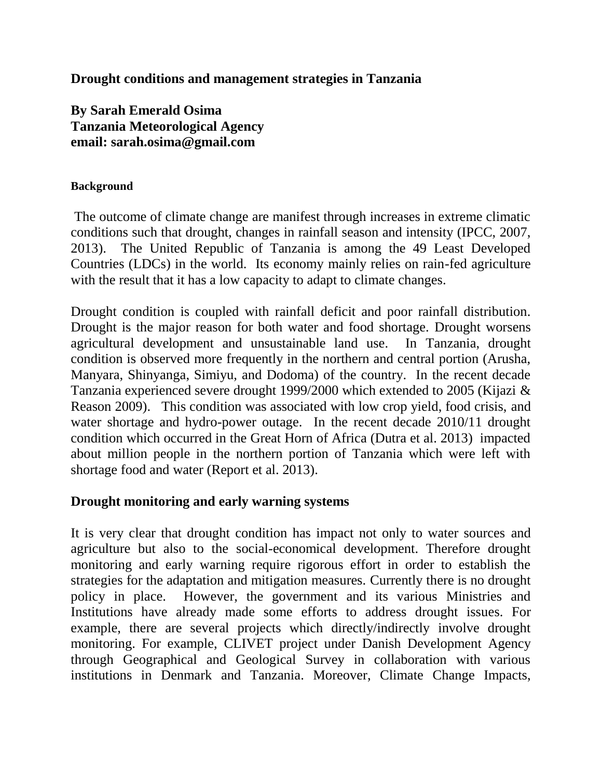**Drought conditions and management strategies in Tanzania**

**By Sarah Emerald Osima Tanzania Meteorological Agency email: sarah.osima@gmail.com**

#### **Background**

The outcome of climate change are manifest through increases in extreme climatic conditions such that drought, changes in rainfall season and intensity (IPCC, 2007, 2013). The United Republic of Tanzania is among the 49 Least Developed Countries (LDCs) in the world. Its economy mainly relies on rain-fed agriculture with the result that it has a low capacity to adapt to climate changes.

Drought condition is coupled with rainfall deficit and poor rainfall distribution. Drought is the major reason for both water and food shortage. Drought worsens agricultural development and unsustainable land use. In Tanzania, drought condition is observed more frequently in the northern and central portion (Arusha, Manyara, Shinyanga, Simiyu, and Dodoma) of the country. In the recent decade Tanzania experienced severe drought 1999/2000 which extended to 2005 (Kijazi & Reason 2009). This condition was associated with low crop yield, food crisis, and water shortage and hydro-power outage. In the recent decade 2010/11 drought condition which occurred in the Great Horn of Africa (Dutra et al. 2013) impacted about million people in the northern portion of Tanzania which were left with shortage food and water (Report et al. 2013).

# **Drought monitoring and early warning systems**

It is very clear that drought condition has impact not only to water sources and agriculture but also to the social-economical development. Therefore drought monitoring and early warning require rigorous effort in order to establish the strategies for the adaptation and mitigation measures. Currently there is no drought policy in place. However, the government and its various Ministries and Institutions have already made some efforts to address drought issues. For example, there are several projects which directly/indirectly involve drought monitoring. For example, CLIVET project under Danish Development Agency through Geographical and Geological Survey in collaboration with various institutions in Denmark and Tanzania. Moreover, Climate Change Impacts,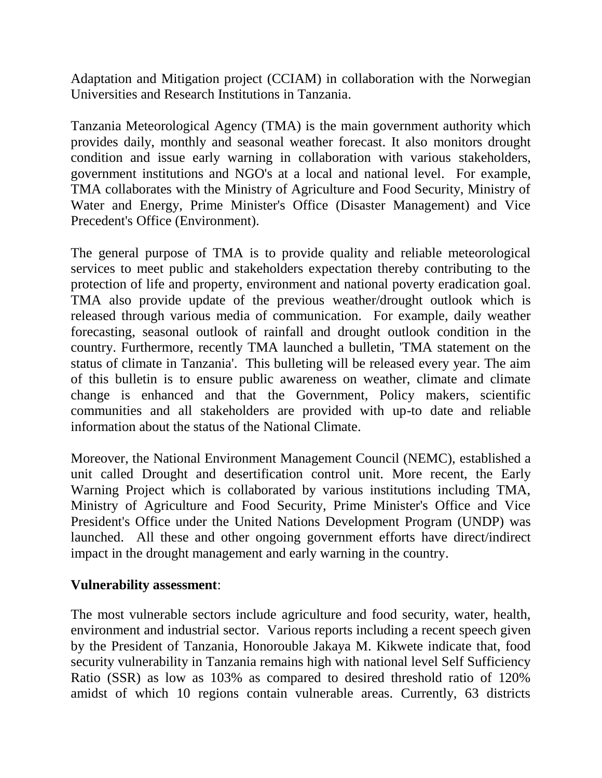Adaptation and Mitigation project (CCIAM) in collaboration with the Norwegian Universities and Research Institutions in Tanzania.

Tanzania Meteorological Agency (TMA) is the main government authority which provides daily, monthly and seasonal weather forecast. It also monitors drought condition and issue early warning in collaboration with various stakeholders, government institutions and NGO's at a local and national level. For example, TMA collaborates with the Ministry of Agriculture and Food Security, Ministry of Water and Energy, Prime Minister's Office (Disaster Management) and Vice Precedent's Office (Environment).

The general purpose of TMA is to provide quality and reliable meteorological services to meet public and stakeholders expectation thereby contributing to the protection of life and property, environment and national poverty eradication goal. TMA also provide update of the previous weather/drought outlook which is released through various media of communication. For example, daily weather forecasting, seasonal outlook of rainfall and drought outlook condition in the country. Furthermore, recently TMA launched a bulletin, 'TMA statement on the status of climate in Tanzania'. This bulleting will be released every year. The aim of this bulletin is to ensure public awareness on weather, climate and climate change is enhanced and that the Government, Policy makers, scientific communities and all stakeholders are provided with up-to date and reliable information about the status of the National Climate.

Moreover, the National Environment Management Council (NEMC), established a unit called Drought and desertification control unit. More recent, the Early Warning Project which is collaborated by various institutions including TMA, Ministry of Agriculture and Food Security, Prime Minister's Office and Vice President's Office under the United Nations Development Program (UNDP) was launched. All these and other ongoing government efforts have direct/indirect impact in the drought management and early warning in the country.

### **Vulnerability assessment**:

The most vulnerable sectors include agriculture and food security, water, health, environment and industrial sector. Various reports including a recent speech given by the President of Tanzania, Honorouble Jakaya M. Kikwete indicate that, food security vulnerability in Tanzania remains high with national level Self Sufficiency Ratio (SSR) as low as 103% as compared to desired threshold ratio of 120% amidst of which 10 regions contain vulnerable areas. Currently, 63 districts